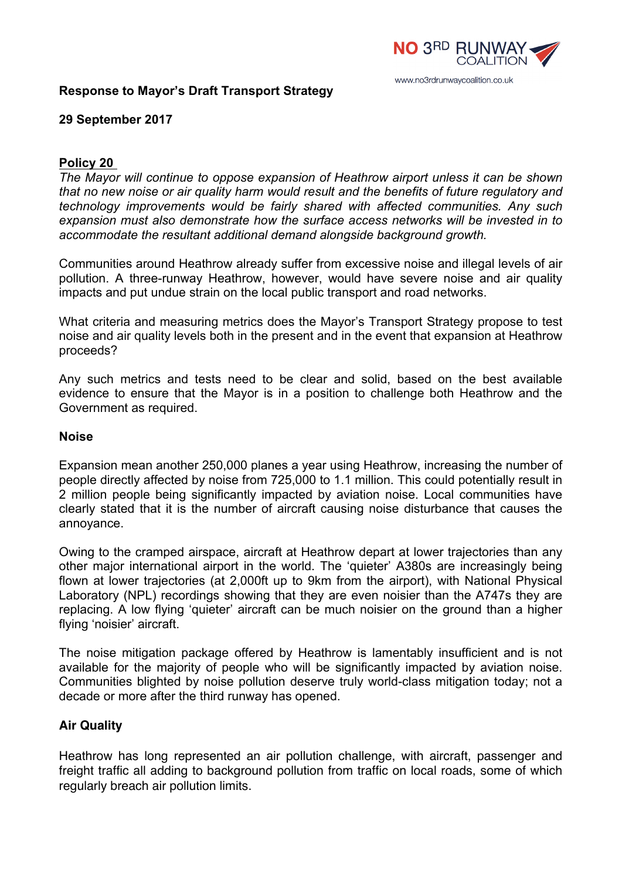

# **Response to Mayor's Draft Transport Strategy**

# **29 September 2017**

### **Policy 20**

*The Mayor will continue to oppose expansion of Heathrow airport unless it can be shown that no new noise or air quality harm would result and the benefits of future regulatory and technology improvements would be fairly shared with affected communities. Any such expansion must also demonstrate how the surface access networks will be invested in to accommodate the resultant additional demand alongside background growth.*

Communities around Heathrow already suffer from excessive noise and illegal levels of air pollution. A three-runway Heathrow, however, would have severe noise and air quality impacts and put undue strain on the local public transport and road networks.

What criteria and measuring metrics does the Mayor's Transport Strategy propose to test noise and air quality levels both in the present and in the event that expansion at Heathrow proceeds?

Any such metrics and tests need to be clear and solid, based on the best available evidence to ensure that the Mayor is in a position to challenge both Heathrow and the Government as required.

### **Noise**

Expansion mean another 250,000 planes a year using Heathrow, increasing the number of people directly affected by noise from 725,000 to 1.1 million. This could potentially result in 2 million people being significantly impacted by aviation noise. Local communities have clearly stated that it is the number of aircraft causing noise disturbance that causes the annoyance.

Owing to the cramped airspace, aircraft at Heathrow depart at lower trajectories than any other major international airport in the world. The 'quieter' A380s are increasingly being flown at lower trajectories (at 2,000ft up to 9km from the airport), with National Physical Laboratory (NPL) recordings showing that they are even noisier than the A747s they are replacing. A low flying 'quieter' aircraft can be much noisier on the ground than a higher flying 'noisier' aircraft.

The noise mitigation package offered by Heathrow is lamentably insufficient and is not available for the majority of people who will be significantly impacted by aviation noise. Communities blighted by noise pollution deserve truly world-class mitigation today; not a decade or more after the third runway has opened.

### **Air Quality**

Heathrow has long represented an air pollution challenge, with aircraft, passenger and freight traffic all adding to background pollution from traffic on local roads, some of which regularly breach air pollution limits.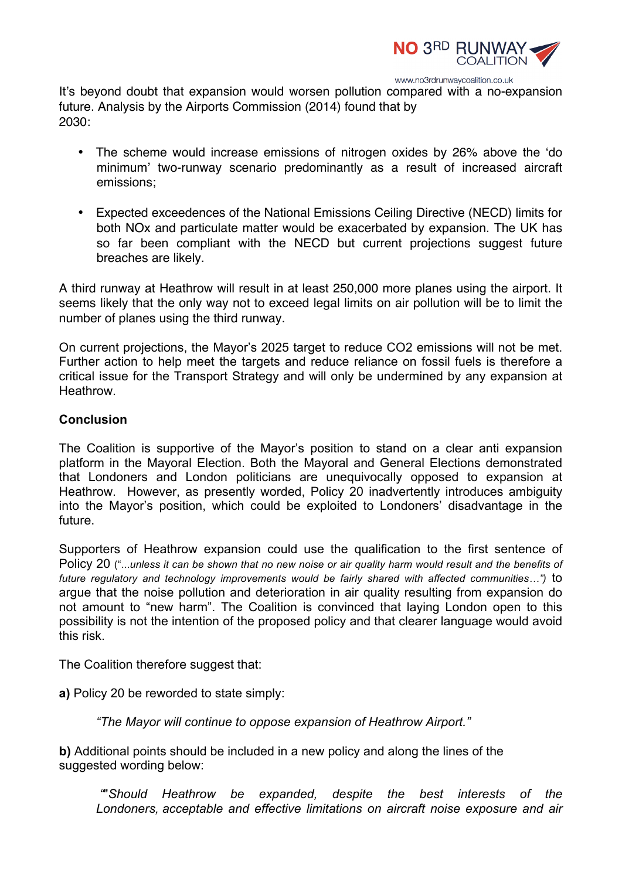

It's beyond doubt that expansion would worsen pollution compared with a no-expansion future. Analysis by the Airports Commission (2014) found that by 2030:

- The scheme would increase emissions of nitrogen oxides by 26% above the 'do minimum' two-runway scenario predominantly as a result of increased aircraft emissions;
- Expected exceedences of the National Emissions Ceiling Directive (NECD) limits for both NOx and particulate matter would be exacerbated by expansion. The UK has so far been compliant with the NECD but current projections suggest future breaches are likely.

A third runway at Heathrow will result in at least 250,000 more planes using the airport. It seems likely that the only way not to exceed legal limits on air pollution will be to limit the number of planes using the third runway.

On current projections, the Mayor's 2025 target to reduce CO2 emissions will not be met. Further action to help meet the targets and reduce reliance on fossil fuels is therefore a critical issue for the Transport Strategy and will only be undermined by any expansion at Heathrow.

# **Conclusion**

The Coalition is supportive of the Mayor's position to stand on a clear anti expansion platform in the Mayoral Election. Both the Mayoral and General Elections demonstrated that Londoners and London politicians are unequivocally opposed to expansion at Heathrow. However, as presently worded, Policy 20 inadvertently introduces ambiguity into the Mayor's position, which could be exploited to Londoners' disadvantage in the future.

Supporters of Heathrow expansion could use the qualification to the first sentence of Policy 20 ("...*unless it can be shown that no new noise or air quality harm would result and the benefits of future regulatory and technology improvements would be fairly shared with affected communities…")* to argue that the noise pollution and deterioration in air quality resulting from expansion do not amount to "new harm". The Coalition is convinced that laying London open to this possibility is not the intention of the proposed policy and that clearer language would avoid this risk.

The Coalition therefore suggest that:

**a)** Policy 20 be reworded to state simply:

*"The Mayor will continue to oppose expansion of Heathrow Airport."*

**b)** Additional points should be included in a new policy and along the lines of the suggested wording below:

*"*"*Should Heathrow be expanded, despite the best interests of the Londoners, acceptable and effective limitations on aircraft noise exposure and air*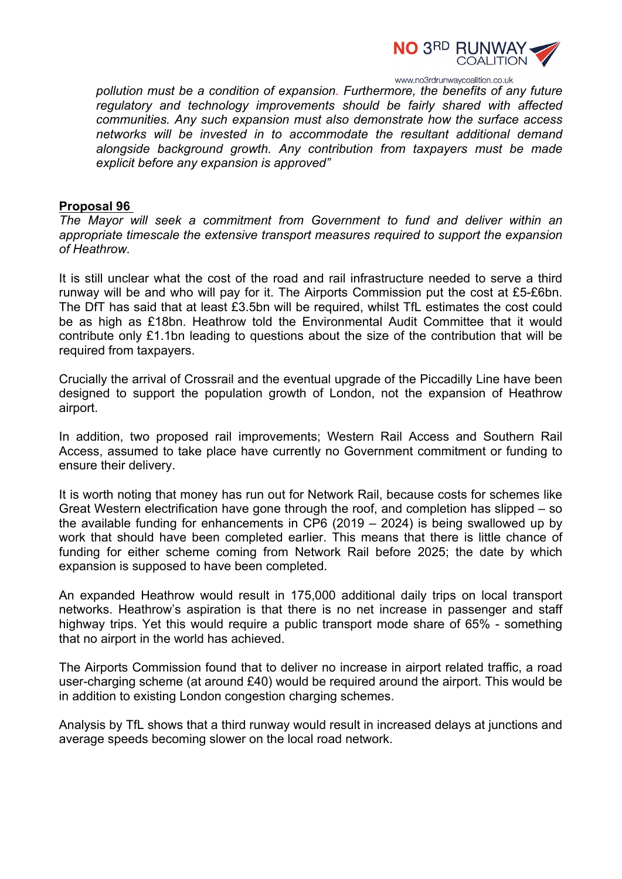

www.no3rdrunwaycoalition.co.uk *pollution must be a condition of expansion. Furthermore, the benefits of any future regulatory and technology improvements should be fairly shared with affected communities. Any such expansion must also demonstrate how the surface access networks will be invested in to accommodate the resultant additional demand alongside background growth. Any contribution from taxpayers must be made explicit before any expansion is approved"*

#### **Proposal 96**

*The Mayor will seek a commitment from Government to fund and deliver within an appropriate timescale the extensive transport measures required to support the expansion of Heathrow.*

It is still unclear what the cost of the road and rail infrastructure needed to serve a third runway will be and who will pay for it. The Airports Commission put the cost at £5-£6bn. The DfT has said that at least £3.5bn will be required, whilst TfL estimates the cost could be as high as £18bn. Heathrow told the Environmental Audit Committee that it would contribute only £1.1bn leading to questions about the size of the contribution that will be required from taxpayers.

Crucially the arrival of Crossrail and the eventual upgrade of the Piccadilly Line have been designed to support the population growth of London, not the expansion of Heathrow airport.

In addition, two proposed rail improvements; Western Rail Access and Southern Rail Access, assumed to take place have currently no Government commitment or funding to ensure their delivery.

It is worth noting that money has run out for Network Rail, because costs for schemes like Great Western electrification have gone through the roof, and completion has slipped – so the available funding for enhancements in CP6 (2019 – 2024) is being swallowed up by work that should have been completed earlier. This means that there is little chance of funding for either scheme coming from Network Rail before 2025; the date by which expansion is supposed to have been completed.

An expanded Heathrow would result in 175,000 additional daily trips on local transport networks. Heathrow's aspiration is that there is no net increase in passenger and staff highway trips. Yet this would require a public transport mode share of 65% - something that no airport in the world has achieved.

The Airports Commission found that to deliver no increase in airport related traffic, a road user-charging scheme (at around £40) would be required around the airport. This would be in addition to existing London congestion charging schemes.

Analysis by TfL shows that a third runway would result in increased delays at junctions and average speeds becoming slower on the local road network.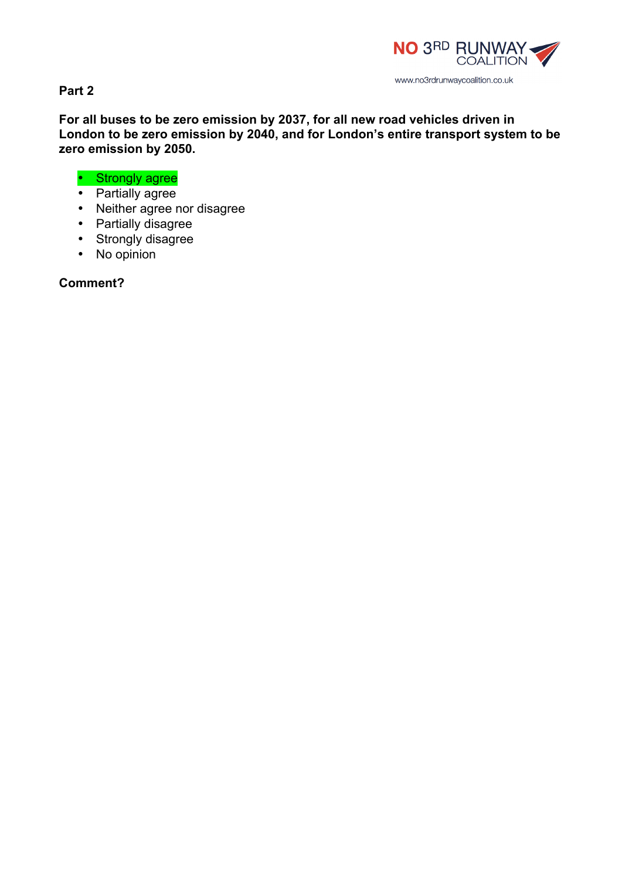

**Part 2**

**For all buses to be zero emission by 2037, for all new road vehicles driven in London to be zero emission by 2040, and for London's entire transport system to be zero emission by 2050.**

# • Strongly agree

- Partially agree
- Neither agree nor disagree
- Partially disagree
- Strongly disagree
- No opinion

**Comment?**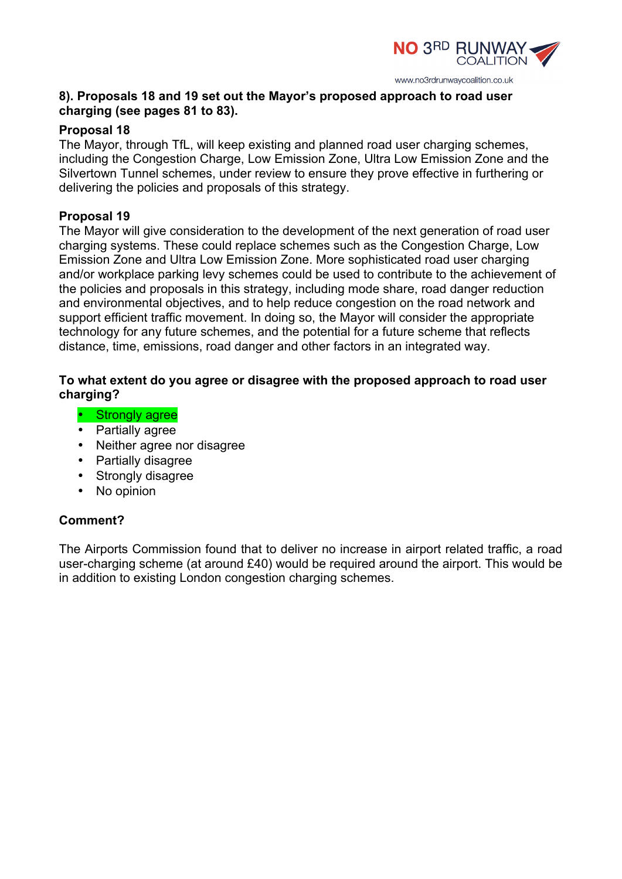

# **8). Proposals 18 and 19 set out the Mayor's proposed approach to road user charging (see pages 81 to 83).**

# **Proposal 18**

The Mayor, through TfL, will keep existing and planned road user charging schemes, including the Congestion Charge, Low Emission Zone, Ultra Low Emission Zone and the Silvertown Tunnel schemes, under review to ensure they prove effective in furthering or delivering the policies and proposals of this strategy.

# **Proposal 19**

The Mayor will give consideration to the development of the next generation of road user charging systems. These could replace schemes such as the Congestion Charge, Low Emission Zone and Ultra Low Emission Zone. More sophisticated road user charging and/or workplace parking levy schemes could be used to contribute to the achievement of the policies and proposals in this strategy, including mode share, road danger reduction and environmental objectives, and to help reduce congestion on the road network and support efficient traffic movement. In doing so, the Mayor will consider the appropriate technology for any future schemes, and the potential for a future scheme that reflects distance, time, emissions, road danger and other factors in an integrated way.

# **To what extent do you agree or disagree with the proposed approach to road user charging?**

- Strongly agree
- Partially agree
- Neither agree nor disagree
- Partially disagree
- Strongly disagree
- No opinion

# **Comment?**

The Airports Commission found that to deliver no increase in airport related traffic, a road user-charging scheme (at around £40) would be required around the airport. This would be in addition to existing London congestion charging schemes.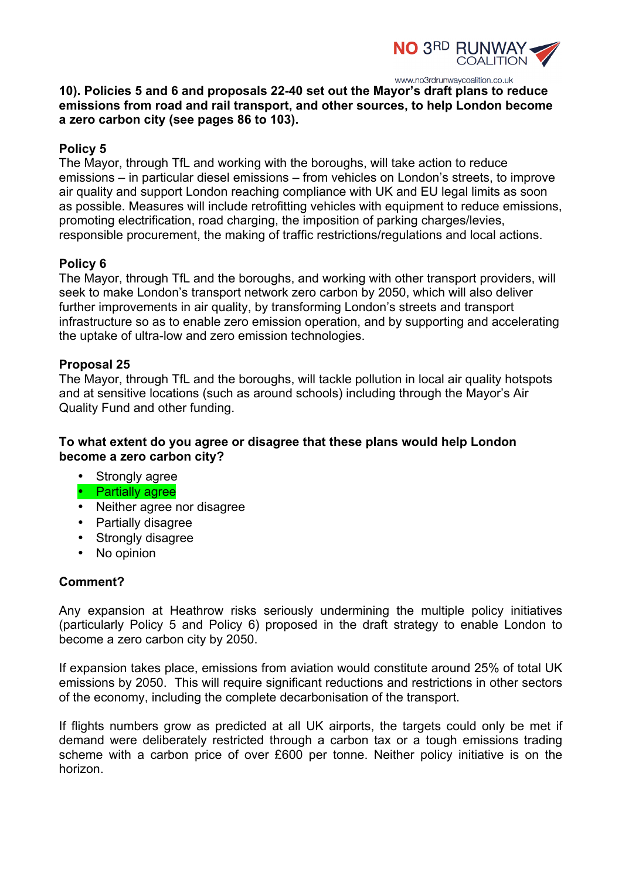

**10). Policies 5 and 6 and proposals 22-40 set out the Mayor's draft plans to reduce emissions from road and rail transport, and other sources, to help London become a zero carbon city (see pages 86 to 103).** 

# **Policy 5**

The Mayor, through TfL and working with the boroughs, will take action to reduce emissions – in particular diesel emissions – from vehicles on London's streets, to improve air quality and support London reaching compliance with UK and EU legal limits as soon as possible. Measures will include retrofitting vehicles with equipment to reduce emissions, promoting electrification, road charging, the imposition of parking charges/levies, responsible procurement, the making of traffic restrictions/regulations and local actions.

# **Policy 6**

The Mayor, through TfL and the boroughs, and working with other transport providers, will seek to make London's transport network zero carbon by 2050, which will also deliver further improvements in air quality, by transforming London's streets and transport infrastructure so as to enable zero emission operation, and by supporting and accelerating the uptake of ultra-low and zero emission technologies.

### **Proposal 25**

The Mayor, through TfL and the boroughs, will tackle pollution in local air quality hotspots and at sensitive locations (such as around schools) including through the Mayor's Air Quality Fund and other funding.

# **To what extent do you agree or disagree that these plans would help London become a zero carbon city?**

- Strongly agree
- Partially agree
- Neither agree nor disagree
- Partially disagree
- Strongly disagree
- No opinion

### **Comment?**

Any expansion at Heathrow risks seriously undermining the multiple policy initiatives (particularly Policy 5 and Policy 6) proposed in the draft strategy to enable London to become a zero carbon city by 2050.

If expansion takes place, emissions from aviation would constitute around 25% of total UK emissions by 2050. This will require significant reductions and restrictions in other sectors of the economy, including the complete decarbonisation of the transport.

If flights numbers grow as predicted at all UK airports, the targets could only be met if demand were deliberately restricted through a carbon tax or a tough emissions trading scheme with a carbon price of over £600 per tonne. Neither policy initiative is on the horizon.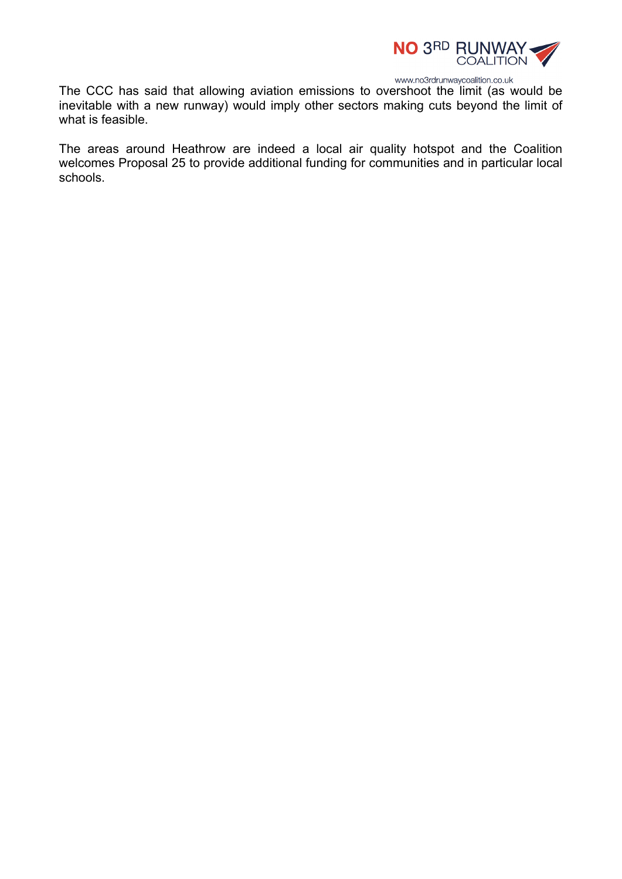

The CCC has said that allowing aviation emissions to overshoot the limit (as would be inevitable with a new runway) would imply other sectors making cuts beyond the limit of what is feasible.

The areas around Heathrow are indeed a local air quality hotspot and the Coalition welcomes Proposal 25 to provide additional funding for communities and in particular local schools.